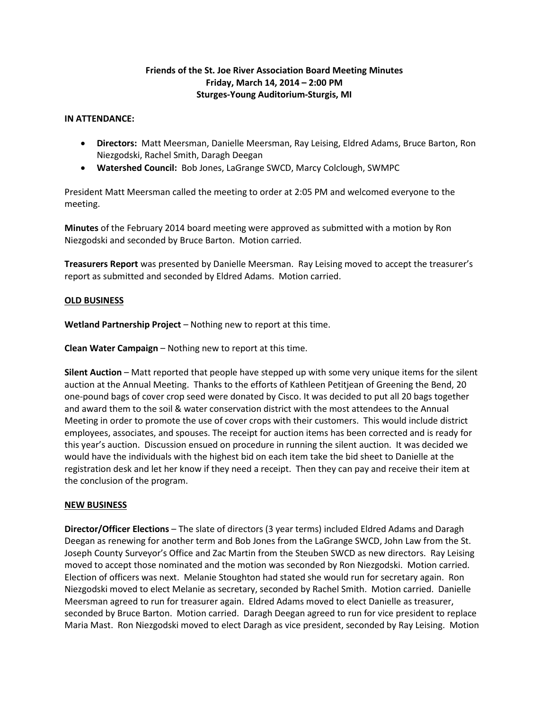# **Friends of the St. Joe River Association Board Meeting Minutes Friday, March 14, 2014 – 2:00 PM Sturges-Young Auditorium-Sturgis, MI**

#### **IN ATTENDANCE:**

- **Directors:** Matt Meersman, Danielle Meersman, Ray Leising, Eldred Adams, Bruce Barton, Ron Niezgodski, Rachel Smith, Daragh Deegan
- **Watershed Council:** Bob Jones, LaGrange SWCD, Marcy Colclough, SWMPC

President Matt Meersman called the meeting to order at 2:05 PM and welcomed everyone to the meeting.

**Minutes** of the February 2014 board meeting were approved as submitted with a motion by Ron Niezgodski and seconded by Bruce Barton. Motion carried.

**Treasurers Report** was presented by Danielle Meersman. Ray Leising moved to accept the treasurer's report as submitted and seconded by Eldred Adams. Motion carried.

#### **OLD BUSINESS**

**Wetland Partnership Project** – Nothing new to report at this time.

**Clean Water Campaign** – Nothing new to report at this time.

**Silent Auction** – Matt reported that people have stepped up with some very unique items for the silent auction at the Annual Meeting. Thanks to the efforts of Kathleen Petitjean of Greening the Bend, 20 one-pound bags of cover crop seed were donated by Cisco. It was decided to put all 20 bags together and award them to the soil & water conservation district with the most attendees to the Annual Meeting in order to promote the use of cover crops with their customers. This would include district employees, associates, and spouses. The receipt for auction items has been corrected and is ready for this year's auction. Discussion ensued on procedure in running the silent auction. It was decided we would have the individuals with the highest bid on each item take the bid sheet to Danielle at the registration desk and let her know if they need a receipt. Then they can pay and receive their item at the conclusion of the program.

## **NEW BUSINESS**

**Director/Officer Elections** – The slate of directors (3 year terms) included Eldred Adams and Daragh Deegan as renewing for another term and Bob Jones from the LaGrange SWCD, John Law from the St. Joseph County Surveyor's Office and Zac Martin from the Steuben SWCD as new directors. Ray Leising moved to accept those nominated and the motion was seconded by Ron Niezgodski. Motion carried. Election of officers was next. Melanie Stoughton had stated she would run for secretary again. Ron Niezgodski moved to elect Melanie as secretary, seconded by Rachel Smith. Motion carried. Danielle Meersman agreed to run for treasurer again. Eldred Adams moved to elect Danielle as treasurer, seconded by Bruce Barton. Motion carried. Daragh Deegan agreed to run for vice president to replace Maria Mast. Ron Niezgodski moved to elect Daragh as vice president, seconded by Ray Leising. Motion